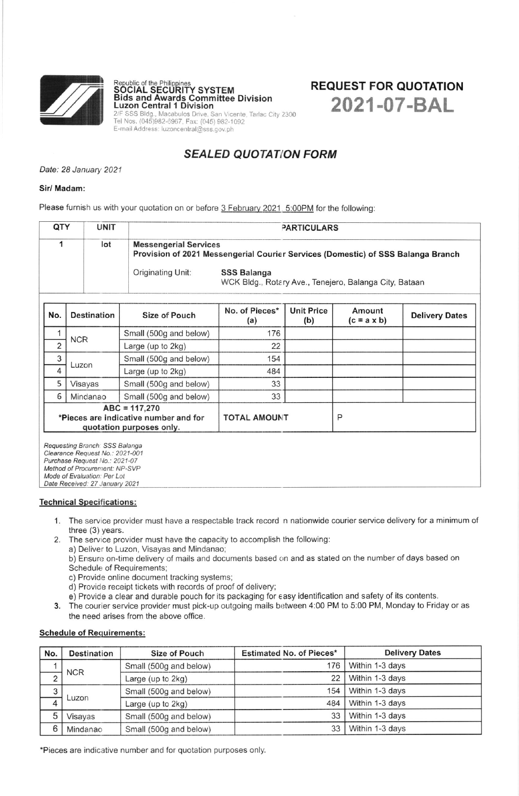

Republic of the Philippines<br>**SOCIAL SECURITY SYSTEM** Bids and Awards Committee Division<br>Luzon Central 1 Division 3 Bldg., Macabulos Drive, San Vicente, Tarlac Cit<br>. (045)982-6967, Fax: (045) 982-1092 E-mail Address: luzoncentral@sss.gov.ph

# REQUEST FOR QUOTATION 2021-07-BAL

## SEALED QUOTATION FORM

Date: 28 January 2021

#### Sir/ Madam:

Please furnish us with your quotation on or before 3 February 2021 5:00PM for the following:

| QTY | <b>UNIT</b> | <b>PARTICULARS</b>                                                                                               |                                                                       |  |  |  |
|-----|-------------|------------------------------------------------------------------------------------------------------------------|-----------------------------------------------------------------------|--|--|--|
|     | lot         | <b>Messengerial Services</b><br>Provision of 2021 Messengerial Courier Services (Domestic) of SSS Balanga Branch |                                                                       |  |  |  |
|     |             | Originating Unit:                                                                                                | SSS Balanga<br>WCK Bldg., Rotary Ave., Tenejero, Balanga City, Bataan |  |  |  |

| No.                                                                                                | <b>Destination</b> | Size of Pouch          | No. of Pieces*<br>(a) | <b>Unit Price</b><br>(b) | Amount<br>$(c = a \times b)$ | <b>Delivery Dates</b> |  |
|----------------------------------------------------------------------------------------------------|--------------------|------------------------|-----------------------|--------------------------|------------------------------|-----------------------|--|
|                                                                                                    | <b>NCR</b>         | Small (500g and below) | 176                   |                          |                              |                       |  |
| $\overline{2}$                                                                                     |                    | Large (up to 2kg)      | 22                    |                          |                              |                       |  |
| 3                                                                                                  | Luzon              | Small (500g and below) | 154                   |                          |                              |                       |  |
| 4                                                                                                  |                    | Large (up to 2kg)      | 484                   |                          |                              |                       |  |
| 5                                                                                                  | Visayas            | Small (500g and below) | 33                    |                          |                              |                       |  |
| 6                                                                                                  | Mindanao           | Small (500g and below) | 33                    |                          |                              |                       |  |
| $ABC = 117,270$<br>*Pieces are indicative number and for<br>quotation purposes only.               |                    |                        | <b>TOTAL AMOUNT</b>   |                          | P                            |                       |  |
| Requesting Branch: SSS Balanga<br>Clearance Request No.: 2021-001<br>Purchase Request No.: 2021-07 |                    |                        |                       |                          |                              |                       |  |

Purchase Request No.: 2021-07<br>Method of Procurement: NP-SVP Mode of Evaluation: Per Lot Date Received: 27 January 2021

Technical Specifications:

- 1. The service provider must have a respectable track record in nationwide courier service delivery for a minimum of three (3) years.
- 2. The service provider must have the capacity to accomplish the following:
	- a) Deliver to Luzon, Visayas and Mindanao;
	- b) Ensure on-time delivery of mails and documents based on and as stated on the number of days based on Schedule of Requirements;
	- c) Provide online document tracking systems:
	- d) Provide receipt tickets with records of proof of delivery;
	- e) Provide a clear and durable pouch for its packaging for easy identification and safety of its contents.
- 3. The courier service provider must pick-up outgoing mails between 4:00 PM to 5:00 PM, Monday to Friday or as the need arises from the above office.

### Schedule of Requirements:

| No.    | <b>Destination</b> | Size of Pouch          | <b>Estimated No. of Pieces*</b> | <b>Delivery Dates</b> |
|--------|--------------------|------------------------|---------------------------------|-----------------------|
|        | <b>NCR</b>         | Small (500g and below) | 176                             | Within 1-3 days       |
|        |                    | Large (up to $2kg$ )   | 22                              | Within 1-3 days       |
| ◠<br>J | Luzon              | Small (500g and below) | 154                             | Within 1-3 days       |
| 4      |                    | Large (up to 2kg)      | 484                             | Within 1-3 days       |
| 5      | Visayas            | Small (500g and below) | 33                              | Within 1-3 days       |
| 6      | Mindanao           | Small (500g and below) | 33                              | Within 1-3 days       |

\*Pieces are indicative number and for quotation purposes only.